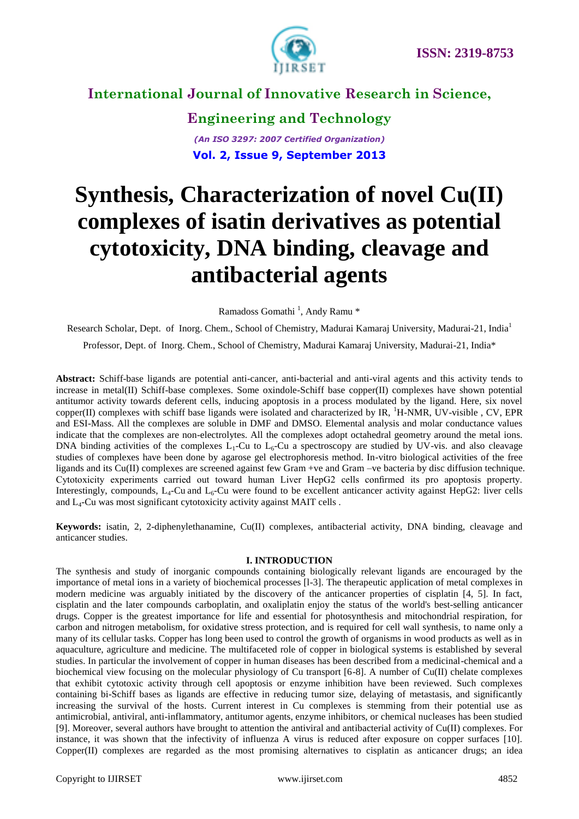

**Engineering and Technology** *(An ISO 3297: 2007 Certified Organization)* **Vol. 2, Issue 9, September 2013**

# **Synthesis, Characterization of novel Cu(II) complexes of isatin derivatives as potential cytotoxicity, DNA binding, cleavage and antibacterial agents**

Ramadoss Gomathi<sup>1</sup>, Andy Ramu<sup>\*</sup>

Research Scholar, Dept. of Inorg. Chem., School of Chemistry, Madurai Kamaraj University, Madurai-21, India<sup>1</sup>

Professor, Dept. of Inorg. Chem., School of Chemistry, Madurai Kamaraj University, Madurai-21, India\*

**Abstract:** Schiff-base ligands are potential anti-cancer, anti-bacterial and anti-viral agents and this activity tends to increase in metal(II) Schiff-base complexes. Some oxindole-Schiff base copper(II) complexes have shown potential antitumor activity towards deferent cells, inducing apoptosis in a process modulated by the ligand. Here, six novel copper(II) complexes with schiff base ligands were isolated and characterized by IR,  ${}^{1}H\text{-NMR}$ , UV-visible, CV, EPR and ESI-Mass. All the complexes are soluble in DMF and DMSO. Elemental analysis and molar conductance values indicate that the complexes are non-electrolytes. All the complexes adopt octahedral geometry around the metal ions. DNA binding activities of the complexes  $L_1$ -Cu to  $L_6$ -Cu a spectroscopy are studied by UV-vis. and also cleavage studies of complexes have been done by agarose gel electrophoresis method. In-vitro biological activities of the free ligands and its Cu(II) complexes are screened against few Gram +ve and Gram -ve bacteria by disc diffusion technique. Cytotoxicity experiments carried out toward human Liver HepG2 cells confirmed its pro apoptosis property. Interestingly, compounds,  $L_4$ -Cu and  $L_6$ -Cu were found to be excellent anticancer activity against HepG2: liver cells and  $L_4$ -Cu was most significant cytotoxicity activity against MAIT cells.

**Keywords:** isatin, 2, 2-diphenylethanamine, Cu(II) complexes, antibacterial activity, DNA binding, cleavage and anticancer studies.

### **I. INTRODUCTION**

The synthesis and study of inorganic compounds containing biologically relevant ligands are encouraged by the importance of metal ions in a variety of biochemical processes [l-3]. The therapeutic application of metal complexes in modern medicine was arguably initiated by the discovery of the anticancer properties of cisplatin [4, 5]. In fact, cisplatin and the later compounds carboplatin, and oxaliplatin enjoy the status of the world's best-selling anticancer drugs. Copper is the greatest importance for life and essential for photosynthesis and mitochondrial respiration, for carbon and nitrogen metabolism, for oxidative stress protection, and is required for cell wall synthesis, to name only a many of its cellular tasks. Copper has long been used to control the growth of organisms in wood products as well as in aquaculture, agriculture and medicine. The multifaceted role of copper in biological systems is established by several studies. In particular the involvement of copper in human diseases has been described from a medicinal-chemical and a biochemical view focusing on the molecular physiology of Cu transport [6-8]. A number of Cu(II) chelate complexes that exhibit cytotoxic activity through cell apoptosis or enzyme inhibition have been reviewed. Such complexes containing bi-Schiff bases as ligands are effective in reducing tumor size, delaying of metastasis, and significantly increasing the survival of the hosts. Current interest in Cu complexes is stemming from their potential use as antimicrobial, antiviral, anti-inflammatory, antitumor agents, enzyme inhibitors, or chemical nucleases has been studied [9]. Moreover, several authors have brought to attention the antiviral and antibacterial activity of Cu(II) complexes. For instance, it was shown that the infectivity of influenza A virus is reduced after exposure on copper surfaces [10]. Copper(II) complexes are regarded as the most promising alternatives to cisplatin as anticancer drugs; an idea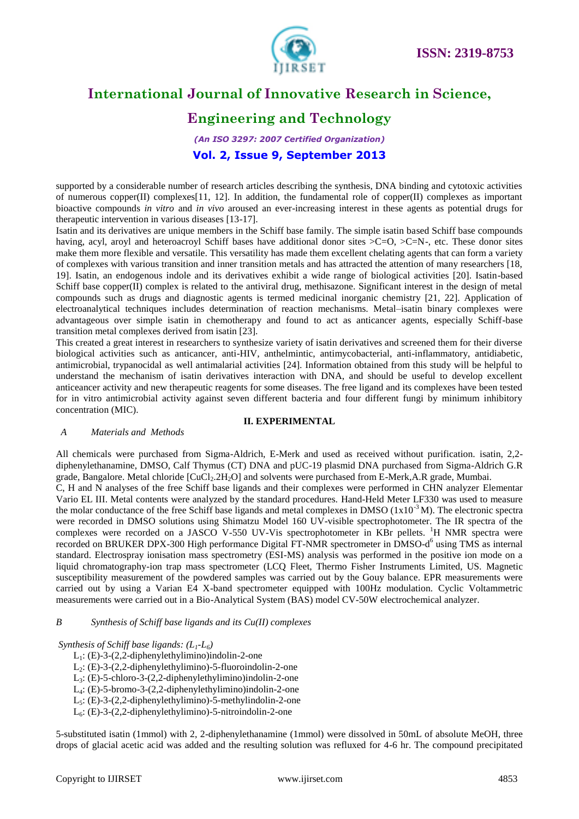

# **Engineering and Technology**

*(An ISO 3297: 2007 Certified Organization)* **Vol. 2, Issue 9, September 2013**

supported by a considerable number of research articles describing the synthesis, DNA binding and cytotoxic activities of numerous copper(II) complexes[11, 12]. In addition, the fundamental role of copper(II) complexes as important bioactive compounds *in vitro* and *in vivo* aroused an ever-increasing interest in these agents as potential drugs for therapeutic intervention in various diseases [13-17].

Isatin and its derivatives are unique members in the Schiff base family. The simple isatin based Schiff base compounds having, acyl, aroyl and heteroacroyl Schiff bases have additional donor sites  $\geq$ C=O,  $\geq$ C=N-, etc. These donor sites make them more flexible and versatile. This versatility has made them excellent chelating agents that can form a variety of complexes with various transition and inner transition metals and has attracted the attention of many researchers [18, 19]. Isatin, an endogenous indole and its derivatives exhibit a wide range of biological activities [20]. Isatin-based Schiff base copper(II) complex is related to the antiviral drug, methisazone. Significant interest in the design of metal compounds such as drugs and diagnostic agents is termed medicinal inorganic chemistry [21, 22]. Application of electroanalytical techniques includes determination of reaction mechanisms. Metal–isatin binary complexes were advantageous over simple isatin in chemotherapy and found to act as anticancer agents, especially Schiff-base transition metal complexes derived from isatin [23].

This created a great interest in researchers to synthesize variety of isatin derivatives and screened them for their diverse biological activities such as anticancer, anti-HIV, anthelmintic, antimycobacterial, anti-inflammatory, antidiabetic, antimicrobial, trypanocidal as well antimalarial activities [24]. Information obtained from this study will be helpful to understand the mechanism of isatin derivatives interaction with DNA, and should be useful to develop excellent anticeancer activity and new therapeutic reagents for some diseases. The free ligand and its complexes have been tested for in vitro antimicrobial activity against seven different bacteria and four different fungi by minimum inhibitory concentration (MIC).

**II. EXPERIMENTAL**

### *A Materials and Methods*

### All chemicals were purchased from Sigma-Aldrich, E-Merk and used as received without purification. isatin, 2,2 diphenylethanamine, DMSO, Calf Thymus (CT) DNA and pUC-19 plasmid DNA purchased from Sigma-Aldrich G.R grade, Bangalore. Metal chloride  $\text{[CuCl}_2$ .2H<sub>2</sub>O] and solvents were purchased from E-Merk,A.R grade, Mumbai. C, H and N analyses of the free Schiff base ligands and their complexes were performed in CHN analyzer Elementar Vario EL III. Metal contents were analyzed by the standard procedures. Hand-Held Meter LF330 was used to measure the molar conductance of the free Schiff base ligands and metal complexes in DMSO  $(1x10^{-3}M)$ . The electronic spectra were recorded in DMSO solutions using Shimatzu Model 160 UV-visible spectrophotometer. The IR spectra of the complexes were recorded on a JASCO V-550 UV-Vis spectrophotometer in KBr pellets.  ${}^{1}H$  NMR spectra were recorded on BRUKER DPX-300 High performance Digital FT-NMR spectrometer in DMSO-d<sup>6</sup> using TMS as internal standard. Electrospray ionisation mass spectrometry (ESI-MS) analysis was performed in the positive ion mode on a liquid chromatography-ion trap mass spectrometer (LCQ Fleet, Thermo Fisher Instruments Limited, US. Magnetic susceptibility measurement of the powdered samples was carried out by the Gouy balance. EPR measurements were carried out by using a Varian E4 X-band spectrometer equipped with 100Hz modulation. Cyclic Voltammetric measurements were carried out in a Bio-Analytical System (BAS) model CV-50W electrochemical analyzer.

### *B Synthesis of Schiff base ligands and its Cu(II) complexes*

### *Synthesis of Schiff base ligands: (L1-L6)*

- $L_1$ : (E)-3-(2,2-diphenylethylimino)indolin-2-one
- L2: (E)-3-(2,2-diphenylethylimino)-5-fluoroindolin-2-one
- L3: (E)-5-chloro-3-(2,2-diphenylethylimino)indolin-2-one
- L4: (E)-5-bromo-3-(2,2-diphenylethylimino)indolin-2-one
- L5: (E)-3-(2,2-diphenylethylimino)-5-methylindolin-2-one
- $L<sub>6</sub>: (E)-3-(2,2-diphenylethylimino)-5-nitroidolin-2-one$

5-substituted isatin (1mmol) with 2, 2-diphenylethanamine (1mmol) were dissolved in 50mL of absolute MeOH, three drops of glacial acetic acid was added and the resulting solution was refluxed for 4-6 hr. The compound precipitated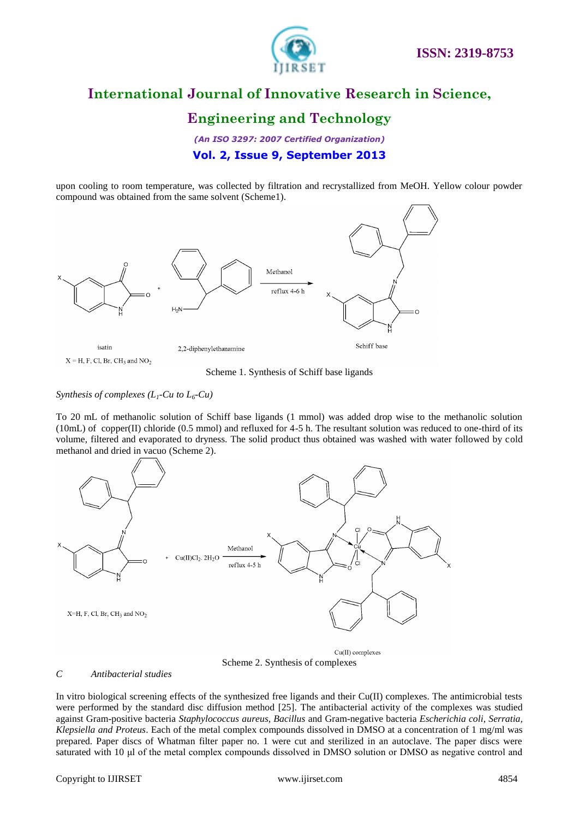

# **Engineering and Technology**

*(An ISO 3297: 2007 Certified Organization)* **Vol. 2, Issue 9, September 2013**

upon cooling to room temperature, was collected by filtration and recrystallized from MeOH. Yellow colour powder compound was obtained from the same solvent (Scheme1).



Scheme 1. Synthesis of Schiff base ligands

*Synthesis of complexes*  $(L_1$ *-Cu to*  $L_6$ -Cu)

To 20 mL of methanolic solution of Schiff base ligands (1 mmol) was added drop wise to the methanolic solution (10mL) of copper(II) chloride (0.5 mmol) and refluxed for 4-5 h. The resultant solution was reduced to one-third of its volume, filtered and evaporated to dryness. The solid product thus obtained was washed with water followed by cold methanol and dried in vacuo (Scheme 2).



Scheme 2. Synthesis of complexes

### *C Antibacterial studies*

In vitro biological screening effects of the synthesized free ligands and their Cu(II) complexes. The antimicrobial tests were performed by the standard disc diffusion method [25]. The antibacterial activity of the complexes was studied against Gram-positive bacteria *Staphylococcus aureus, Bacillus* and Gram-negative bacteria *Escherichia coli*, *Serratia, Klepsiella and Proteus*. Each of the metal complex compounds dissolved in DMSO at a concentration of 1 mg/ml was prepared. Paper discs of Whatman filter paper no. 1 were cut and sterilized in an autoclave. The paper discs were saturated with 10 μl of the metal complex compounds dissolved in DMSO solution or DMSO as negative control and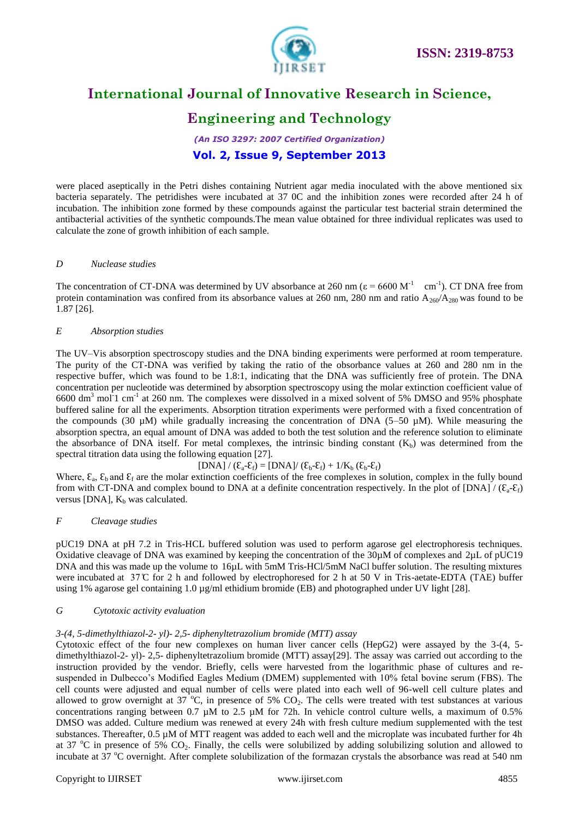

# **Engineering and Technology**

*(An ISO 3297: 2007 Certified Organization)* **Vol. 2, Issue 9, September 2013**

were placed aseptically in the Petri dishes containing Nutrient agar media inoculated with the above mentioned six bacteria separately. The petridishes were incubated at 37 0C and the inhibition zones were recorded after 24 h of incubation. The inhibition zone formed by these compounds against the particular test bacterial strain determined the antibacterial activities of the synthetic compounds.The mean value obtained for three individual replicates was used to calculate the zone of growth inhibition of each sample.

### *D Nuclease studies*

The concentration of CT-DNA was determined by UV absorbance at 260 nm ( $\epsilon$  = 6600 M<sup>-1</sup> cm<sup>-1</sup>). CT DNA free from protein contamination was confired from its absorbance values at 260 nm, 280 nm and ratio  $A_{260}/A_{280}$  was found to be 1.87 [26].

### *E Absorption studies*

The UV–Vis absorption spectroscopy studies and the DNA binding experiments were performed at room temperature. The purity of the CT-DNA was verified by taking the ratio of the obsorbance values at 260 and 280 nm in the respective buffer, which was found to be 1.8:1, indicating that the DNA was sufficiently free of protein. The DNA concentration per nucleotide was determined by absorption spectroscopy using the molar extinction coefficient value of 6600 dm<sup>3</sup> mol<sup>-1</sup> cm<sup>-1</sup> at 260 nm. The complexes were dissolved in a mixed solvent of 5% DMSO and 95% phosphate buffered saline for all the experiments. Absorption titration experiments were performed with a fixed concentration of the compounds (30  $\mu$ M) while gradually increasing the concentration of DNA (5–50  $\mu$ M). While measuring the absorption spectra, an equal amount of DNA was added to both the test solution and the reference solution to eliminate the absorbance of DNA itself. For metal complexes, the intrinsic binding constant  $(K_h)$  was determined from the spectral titration data using the following equation [27].

 $[DNA]/(\mathcal{E}_a-\mathcal{E}_f)=[DNA]/(\mathcal{E}_b-\mathcal{E}_f)+1/K_b(\mathcal{E}_b-\mathcal{E}_f)$ 

Where,  $\mathcal{E}_a$ ,  $\mathcal{E}_b$  and  $\mathcal{E}_f$  are the molar extinction coefficients of the free complexes in solution, complex in the fully bound from with CT-DNA and complex bound to DNA at a definite concentration respectively. In the plot of [DNA] /  $(\xi_a - \xi_f)$ versus [DNA],  $K_b$  was calculated.

### *F Cleavage studies*

pUC19 DNA at pH 7.2 in Tris-HCL buffered solution was used to perform agarose gel electrophoresis techniques. Oxidative cleavage of DNA was examined by keeping the concentration of the 30µM of complexes and 2µL of pUC19 DNA and this was made up the volume to 16µL with 5mM Tris-HCl/5mM NaCl buffer solution. The resulting mixtures were incubated at  $37^{\circ}$  C for 2 h and followed by electrophoresed for 2 h at 50 V in Tris-aetate-EDTA (TAE) buffer using 1% agarose gel containing 1.0 µg/ml ethidium bromide (EB) and photographed under UV light [28].

### *G Cytotoxic activity evaluation*

### *3-(4, 5-dimethylthiazol-2- yl)- 2,5- diphenyltetrazolium bromide (MTT) assay*

Cytotoxic effect of the four new complexes on human liver cancer cells (HepG2) were assayed by the 3-(4, 5 dimethylthiazol-2- yl)- 2,5- diphenyltetrazolium bromide (MTT) assay[29]. The assay was carried out according to the instruction provided by the vendor. Briefly, cells were harvested from the logarithmic phase of cultures and resuspended in Dulbecco's Modified Eagles Medium (DMEM) supplemented with 10% fetal bovine serum (FBS). The cell counts were adjusted and equal number of cells were plated into each well of 96-well cell culture plates and allowed to grow overnight at 37 °C, in presence of 5%  $CO<sub>2</sub>$ . The cells were treated with test substances at various concentrations ranging between 0.7  $\mu$ M to 2.5  $\mu$ M for 72h. In vehicle control culture wells, a maximum of 0.5% DMSO was added. Culture medium was renewed at every 24h with fresh culture medium supplemented with the test substances. Thereafter, 0.5 µM of MTT reagent was added to each well and the microplate was incubated further for 4h at 37  $\degree$ C in presence of 5% CO<sub>2</sub>. Finally, the cells were solubilized by adding solubilizing solution and allowed to incubate at 37  $^{\circ}$ C overnight. After complete solubilization of the formazan crystals the absorbance was read at 540 nm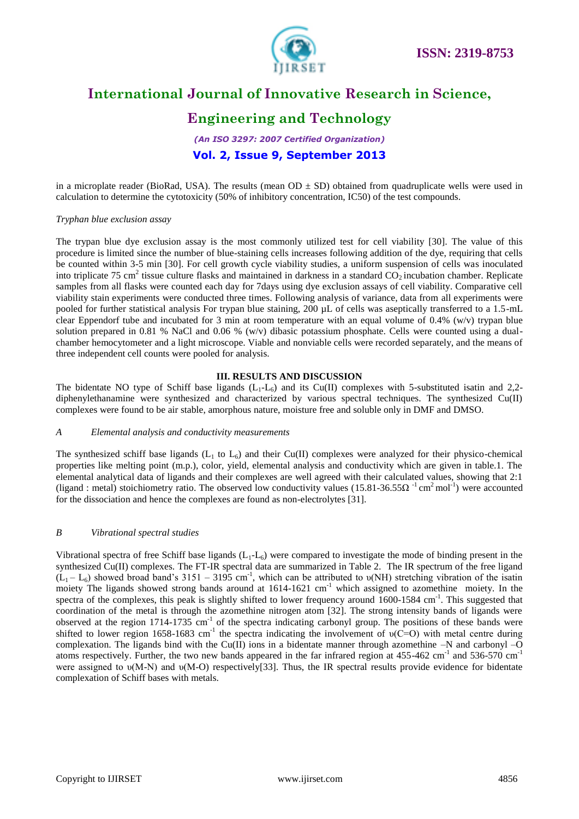

# **Engineering and Technology**

*(An ISO 3297: 2007 Certified Organization)* **Vol. 2, Issue 9, September 2013**

in a microplate reader (BioRad, USA). The results (mean  $OD \pm SD$ ) obtained from quadruplicate wells were used in calculation to determine the cytotoxicity (50% of inhibitory concentration, IC50) of the test compounds.

### *Tryphan blue exclusion assay*

The trypan blue dye exclusion assay is the most commonly utilized test for cell viability [30]. The value of this procedure is limited since the number of blue-staining cells increases following addition of the dye, requiring that cells be counted within 3-5 min [30]. For cell growth cycle viability studies, a uniform suspension of cells was inoculated into triplicate 75 cm<sup>2</sup> tissue culture flasks and maintained in darkness in a standard  $CO_2$  incubation chamber. Replicate samples from all flasks were counted each day for 7days using dye exclusion assays of cell viability. Comparative cell viability stain experiments were conducted three times. Following analysis of variance, data from all experiments were pooled for further statistical analysis For trypan blue staining, 200 µL of cells was aseptically transferred to a 1.5-mL clear Eppendorf tube and incubated for 3 min at room temperature with an equal volume of 0.4% (w/v) trypan blue solution prepared in 0.81 % NaCl and 0.06 % (w/v) dibasic potassium phosphate. Cells were counted using a dualchamber hemocytometer and a light microscope. Viable and nonviable cells were recorded separately, and the means of three independent cell counts were pooled for analysis.

### **III. RESULTS AND DISCUSSION**

The bidentate NO type of Schiff base ligands  $(L_1-L_6)$  and its Cu(II) complexes with 5-substituted isatin and 2,2diphenylethanamine were synthesized and characterized by various spectral techniques. The synthesized Cu(II) complexes were found to be air stable, amorphous nature, moisture free and soluble only in DMF and DMSO.

### *A Elemental analysis and conductivity measurements*

The synthesized schiff base ligands  $(L_1 \text{ to } L_6)$  and their Cu(II) complexes were analyzed for their physico-chemical properties like melting point (m.p.), color, yield, elemental analysis and conductivity which are given in table.1. The elemental analytical data of ligands and their complexes are well agreed with their calculated values, showing that 2:1 (ligand : metal) stoichiometry ratio. The observed low conductivity values (15.81-36.55 $\Omega^{-1}$  cm<sup>2</sup> mol<sup>-1</sup>) were accounted for the dissociation and hence the complexes are found as non-electrolytes [31].

### *B Vibrational spectral studies*

Vibrational spectra of free Schiff base ligands  $(L_1-L_6)$  were compared to investigate the mode of binding present in the synthesized Cu(II) complexes. The FT-IR spectral data are summarized in Table 2. The IR spectrum of the free ligand  $(L_1 - L_6)$  showed broad band's 3151 – 3195 cm<sup>-1</sup>, which can be attributed to  $\nu(NH)$  stretching vibration of the isatin moiety The ligands showed strong bands around at 1614-1621 cm<sup>-1</sup> which assigned to azomethine moiety. In the spectra of the complexes, this peak is slightly shifted to lower frequency around 1600-1584 cm<sup>-1</sup>. This suggested that coordination of the metal is through the azomethine nitrogen atom [32]. The strong intensity bands of ligands were observed at the region  $1714-1735$  cm<sup>-1</sup> of the spectra indicating carbonyl group. The positions of these bands were shifted to lower region 1658-1683 cm<sup>-1</sup> the spectra indicating the involvement of  $v(C=0)$  with metal centre during complexation. The ligands bind with the Cu(II) ions in a bidentate manner through azomethine  $-N$  and carbonyl  $-O$ atoms respectively. Further, the two new bands appeared in the far infrared region at  $455-462$  cm<sup>-1</sup> and  $536-570$  cm<sup>-1</sup> were assigned to υ(M-N) and υ(M-O) respectively[33]. Thus, the IR spectral results provide evidence for bidentate complexation of Schiff bases with metals.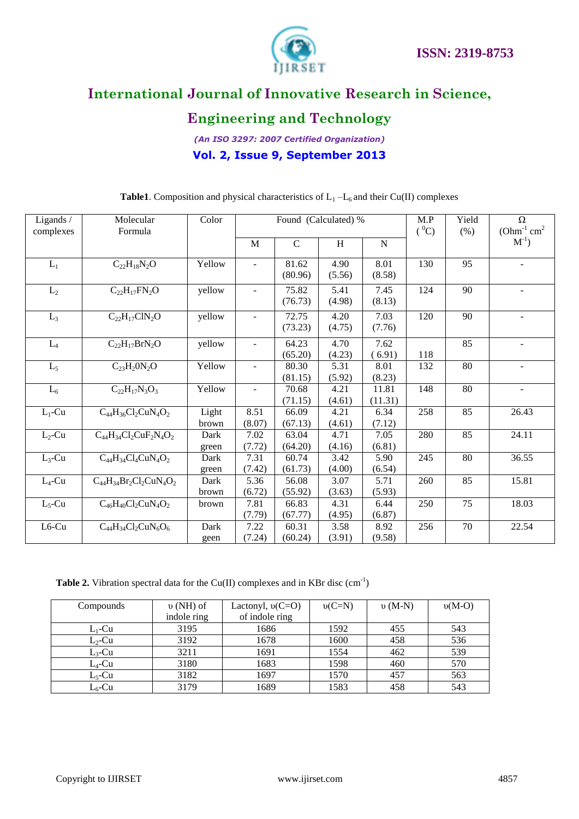



# **Engineering and Technology**

*(An ISO 3297: 2007 Certified Organization)* **Vol. 2, Issue 9, September 2013**

| Ligands /<br>complexes | Molecular<br>Formula           | Color          | Found (Calculated) %     |                  |                | M.P<br>$(^0C)$   | Yield<br>(% ) | $\Omega$<br>$(Ohm^{-1}$ cm <sup>2</sup> |                          |
|------------------------|--------------------------------|----------------|--------------------------|------------------|----------------|------------------|---------------|-----------------------------------------|--------------------------|
|                        |                                |                | M                        | $\mathcal{C}$    | H              | N                |               |                                         | $M^{-1}$                 |
| $L_1$                  | $C_{22}H_{18}N_2O$             | Yellow         | $\overline{\phantom{a}}$ | 81.62<br>(80.96) | 4.90<br>(5.56) | 8.01<br>(8.58)   | 130           | 95                                      | $\overline{\phantom{a}}$ |
| $L_2$                  | $C_{22}H_{17}FN_{2}O$          | yellow         | $\overline{\phantom{a}}$ | 75.82<br>(76.73) | 5.41<br>(4.98) | 7.45<br>(8.13)   | 124           | 90                                      |                          |
| $L_3$                  | $C_{22}H_{17}C1N_2O$           | yellow         | $\overline{a}$           | 72.75<br>(73.23) | 4.20<br>(4.75) | 7.03<br>(7.76)   | 120           | 90                                      |                          |
| $L_4$                  | $C_{22}H_{17}BrN_2O$           | yellow         | $\blacksquare$           | 64.23<br>(65.20) | 4.70<br>(4.23) | 7.62<br>(6.91)   | 118           | 85                                      | $\blacksquare$           |
| $L_5$                  | $C_{23}H_2ON_2O$               | Yellow         |                          | 80.30<br>(81.15) | 5.31<br>(5.92) | 8.01<br>(8.23)   | 132           | 80                                      |                          |
| $L_6$                  | $C_{22}H_{17}N_3O_3$           | Yellow         | $\overline{a}$           | 70.68<br>(71.15) | 4.21<br>(4.61) | 11.81<br>(11.31) | 148           | 80                                      | $\overline{\phantom{a}}$ |
| $L_1$ -Cu              | $C_{44}H_{36}Cl_2CuN_4O_2$     | Light<br>brown | 8.51<br>(8.07)           | 66.09<br>(67.13) | 4.21<br>(4.61) | 6.34<br>(7.12)   | 258           | 85                                      | 26.43                    |
| $L_2$ -Cu              | $C_{44}H_{34}Cl_2CuF_2N_4O_2$  | Dark<br>green  | 7.02<br>(7.72)           | 63.04<br>(64.20) | 4.71<br>(4.16) | 7.05<br>(6.81)   | 280           | 85                                      | 24.11                    |
| $L_3$ -Cu              | $C_{44}H_{34}Cl_4CuN_4O_2$     | Dark<br>green  | 7.31<br>(7.42)           | 60.74<br>(61.73) | 3.42<br>(4.00) | 5.90<br>(6.54)   | 245           | 80                                      | 36.55                    |
| $L_4$ -Cu              | $C_{44}H_{34}Br_2Cl_2CuN_4O_2$ | Dark<br>brown  | 5.36<br>(6.72)           | 56.08<br>(55.92) | 3.07<br>(3.63) | 5.71<br>(5.93)   | 260           | 85                                      | 15.81                    |
| $L_5$ -Cu              | $C_{46}H_{40}Cl_2CuN_4O_2$     | brown          | 7.81<br>(7.79)           | 66.83<br>(67.77) | 4.31<br>(4.95) | 6.44<br>(6.87)   | 250           | 75                                      | 18.03                    |
| L6-Cu                  | $C_{44}H_{34}Cl_2CuN_6O_6$     | Dark<br>geen   | 7.22<br>(7.24)           | 60.31<br>(60.24) | 3.58<br>(3.91) | 8.92<br>(9.58)   | 256           | 70                                      | 22.54                    |

**Table1**. Composition and physical characteristics of  $L_1 - L_6$  and their Cu(II) complexes

**Table 2.** Vibration spectral data for the Cu(II) complexes and in KBr disc  $(cm<sup>-1</sup>)$ 

| Compounds | $\nu$ (NH) of | Lactonyl, $v(C=O)$ | $v(C=N)$ | $v(M-N)$ | $v(M-O)$ |
|-----------|---------------|--------------------|----------|----------|----------|
|           | indole ring   | of indole ring     |          |          |          |
| $L_1$ -Cu | 3195          | 1686               | 1592     | 455      | 543      |
| $L_2$ -Cu | 3192          | 1678               | 1600     | 458      | 536      |
| $L_3$ -Cu | 3211          | 1691               | 1554     | 462      | 539      |
| $L_4$ -Cu | 3180          | 1683               | 1598     | 460      | 570      |
| $L_5$ -Cu | 3182          | 1697               | 1570     | 457      | 563      |
| $L_6$ -Cu | 3179          | 1689               | 1583     | 458      | 543      |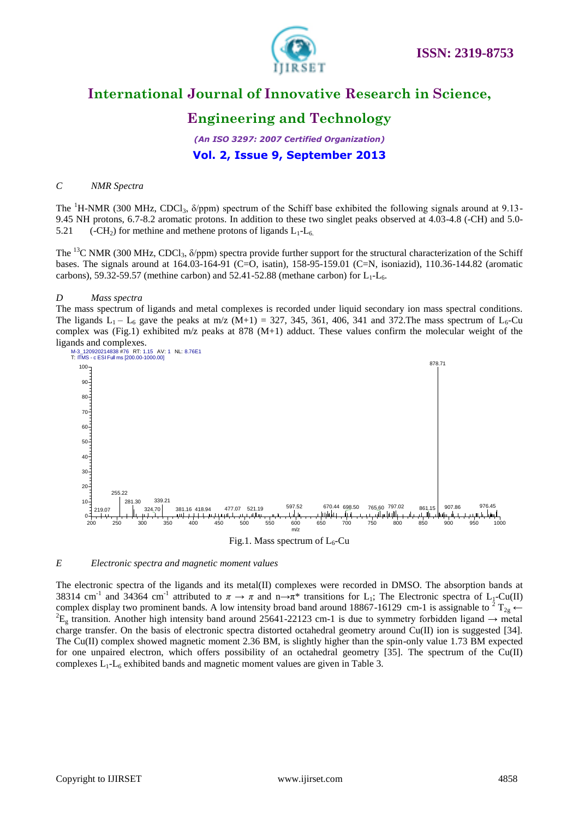

# **Engineering and Technology**

*(An ISO 3297: 2007 Certified Organization)* **Vol. 2, Issue 9, September 2013**

### *C NMR Spectra*

The <sup>1</sup>H-NMR (300 MHz, CDCl<sub>3</sub>,  $\delta$ /ppm) spectrum of the Schiff base exhibited the following signals around at 9.13-9.45 NH protons, 6.7-8.2 aromatic protons. In addition to these two singlet peaks observed at 4.03-4.8 (-CH) and 5.0- 5.21 (-CH<sub>2</sub>) for methine and methene protons of ligands  $L_1$ - $L_6$ .

The <sup>13</sup>C NMR (300 MHz, CDCl<sub>3</sub>,  $\delta$ /ppm) spectra provide further support for the structural characterization of the Schiff bases. The signals around at 164.03-164-91 (C=O, isatin), 158-95-159.01 (C=N, isoniazid), 110.36-144.82 (aromatic carbons), 59.32-59.57 (methine carbon) and 52.41-52.88 (methane carbon) for  $L_1$ - $L_6$ .

### *D Mass spectra*

The mass spectrum of ligands and metal complexes is recorded under liquid secondary ion mass spectral conditions. The ligands  $L_1 - L_6$  gave the peaks at m/z (M+1) = 327, 345, 361, 406, 341 and 372. The mass spectrum of  $L_6$ -Cu complex was (Fig.1) exhibited m/z peaks at 878 (M+1) adduct. These values confirm the molecular weight of the ligands and complexes.



#### *E Electronic spectra and magnetic moment values*

The electronic spectra of the ligands and its metal(II) complexes were recorded in DMSO. The absorption bands at 38314 cm<sup>-1</sup> and 34364 cm<sup>-1</sup> attributed to  $\pi \to \pi$  and n→ $\pi^*$  transitions for L<sub>1</sub>; The Electronic spectra of L<sub>1</sub>-Cu(II) complex display two prominent bands. A low intensity broad band around 18867-16129 cm-1 is assignable to <sup>2</sup> T<sub>2g</sub>  $\leftarrow$  ${}^{2}E_{g}$  transition. Another high intensity band around 25641-22123 cm-1 is due to symmetry forbidden ligand  $\rightarrow$  metal charge transfer. On the basis of electronic spectra distorted octahedral geometry around  $Cu(II)$  ion is suggested [34]. The Cu(II) complex showed magnetic moment 2.36 BM, is slightly higher than the spin-only value 1.73 BM expected for one unpaired electron, which offers possibility of an octahedral geometry [35]. The spectrum of the Cu(II) complexes  $L_1$ - $L_6$  exhibited bands and magnetic moment values are given in Table 3.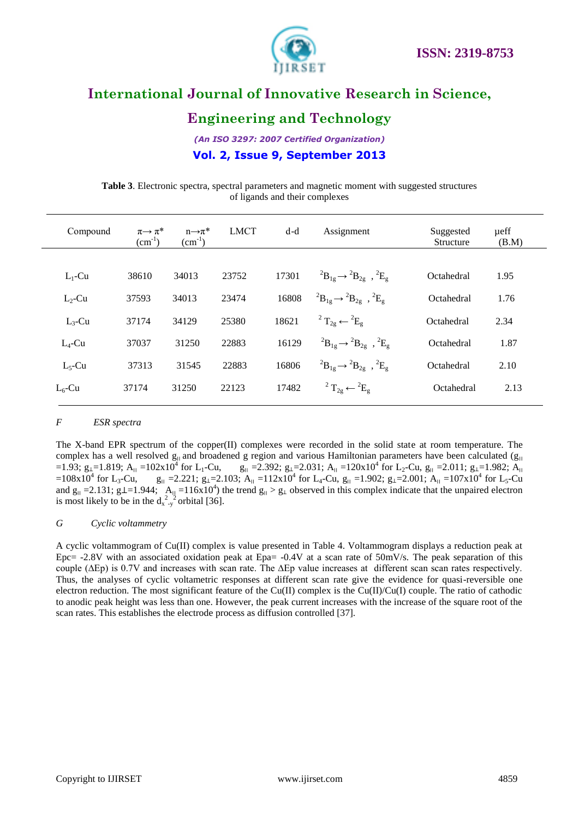

# **Engineering and Technology**

*(An ISO 3297: 2007 Certified Organization)* **Vol. 2, Issue 9, September 2013**

**Table 3**. Electronic spectra, spectral parameters and magnetic moment with suggested structures of ligands and their complexes

| Compound  | $\pi \rightarrow \pi^*$<br>$(cm^{-1})$ | $n\rightarrow \pi^*$<br>$(cm^{-1})$ | <b>LMCT</b> | $d-d$ | Assignment                                                            | Suggested<br>Structure | ueff<br>(B.M) |
|-----------|----------------------------------------|-------------------------------------|-------------|-------|-----------------------------------------------------------------------|------------------------|---------------|
| $L_1$ -Cu | 38610                                  | 34013                               | 23752       | 17301 | ${}^{2}B_{1g} \rightarrow {}^{2}B_{2g}$ , ${}^{2}E_{g}$               | Octahedral             | 1.95          |
| $L_2$ -Cu | 37593                                  | 34013                               | 23474       | 16808 | ${}^{2}B_{1g} \rightarrow {}^{2}B_{2g}$ , ${}^{2}E_{g}$               | Octahedral             | 1.76          |
| $L_3$ -Cu | 37174                                  | 34129                               | 25380       | 18621 | <sup>2</sup> T <sub>2g</sub> $\leftarrow$ <sup>2</sup> E <sub>g</sub> | Octahedral             | 2.34          |
| $L_4$ -Cu | 37037                                  | 31250                               | 22883       | 16129 | ${}^{2}B_{1g} \rightarrow {}^{2}B_{2g}$ , ${}^{2}E_{g}$               | Octahedral             | 1.87          |
| $L_5$ -Cu | 37313                                  | 31545                               | 22883       | 16806 | ${}^{2}B_{1g} \rightarrow {}^{2}B_{2g}$ , ${}^{2}E_{g}$               | Octahedral             | 2.10          |
| $L_6$ -Cu | 37174                                  | 31250                               | 22123       | 17482 | <sup>2</sup> T <sub>2g</sub> $\leftarrow$ <sup>2</sup> E <sub>g</sub> | Octahedral             | 2.13          |
|           |                                        |                                     |             |       |                                                                       |                        |               |

### *F ESR spectra*

The X-band EPR spectrum of the copper(II) complexes were recorded in the solid state at room temperature. The complex has a well resolved  $g_{\parallel}$  and broadened g region and various Hamiltonian parameters have been calculated ( $g_{\parallel}$ =1.93;  $g_{\perp}$ =1.819;  $A_{\parallel}$  =102x10<sup>4</sup> for L<sub>1</sub>-Cu, for L<sub>1</sub>-Cu, g<sub>||</sub> =2.392; g<sub>1</sub>=2.031; A<sub>||</sub> =120x10<sup>4</sup> for L<sub>2</sub>-Cu, g<sub>||</sub> =2.011; g<sub>1</sub>=1.982; A<sub>||</sub>  $=108x10^4$  for L<sub>3</sub>-Cu, for L<sub>3</sub>-Cu, g<sub>II</sub> = 2.221; g<sub>1</sub>=2.103; A<sub>II</sub> = 112x10<sup>4</sup> for L<sub>4</sub>-Cu, g<sub>II</sub> = 1.902; g<sub>1</sub>=2.001; A<sub>II</sub> = 107x10<sup>4</sup> for L<sub>5</sub>-Cu and  $g_{\parallel} = 2.131$ ;  $g \perp = 1.944$ ;  $A_{\parallel} = 116x10^4$ ) the trend  $g_{\parallel} > g_{\perp}$  observed in this complex indicate that the unpaired electron is most likely to be in the  $d_{x-y}^2$  orbital [36].

### *G Cyclic voltammetry*

A cyclic voltammogram of Cu(II) complex is value presented in Table 4. Voltammogram displays a reduction peak at Epc= -2.8V with an associated oxidation peak at Epa= -0.4V at a scan rate of 50mV/s. The peak separation of this couple (∆Ep) is 0.7V and increases with scan rate. The ∆Ep value increases at different scan scan rates respectively. Thus, the analyses of cyclic voltametric responses at different scan rate give the evidence for quasi-reversible one electron reduction. The most significant feature of the Cu(II) complex is the Cu(II)/Cu(I) couple. The ratio of cathodic to anodic peak height was less than one. However, the peak current increases with the increase of the square root of the scan rates. This establishes the electrode process as diffusion controlled [37].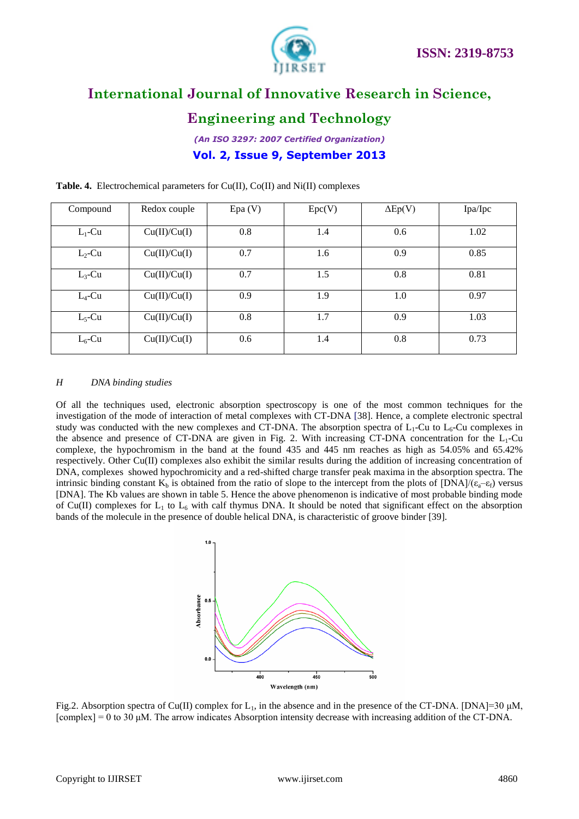

# **Engineering and Technology**

*(An ISO 3297: 2007 Certified Organization)* **Vol. 2, Issue 9, September 2013**

| Compound  | Redox couple | Epa(V) | Epc(V) | $\Delta Ep(V)$ | Ipa/Ipc |
|-----------|--------------|--------|--------|----------------|---------|
| $L_1$ -Cu | Cu(II)/Cu(I) | 0.8    | 1.4    | 0.6            | 1.02    |
| $L_2$ -Cu | Cu(II)/Cu(I) | 0.7    | 1.6    | 0.9            | 0.85    |
| $L_3$ -Cu | Cu(II)/Cu(I) | 0.7    | 1.5    | 0.8            | 0.81    |
| $L_4$ -Cu | Cu(II)/Cu(I) | 0.9    | 1.9    | 1.0            | 0.97    |
| $L_5$ -Cu | Cu(II)/Cu(I) | 0.8    | 1.7    | 0.9            | 1.03    |
| $L_6$ -Cu | Cu(II)/Cu(I) | 0.6    | 1.4    | 0.8            | 0.73    |

**Table. 4.** Electrochemical parameters for Cu(II), Co(II) and Ni(II) complexes

### *H DNA binding studies*

Of all the techniques used, electronic absorption spectroscopy is one of the most common techniques for the investigation of the mode of interaction of metal complexes with CT-DNA [38]. Hence, a complete electronic spectral study was conducted with the new complexes and CT-DNA. The absorption spectra of  $L_1$ -Cu to  $L_6$ -Cu complexes in the absence and presence of CT-DNA are given in Fig. 2. With increasing CT-DNA concentration for the  $L_1$ -Cu complexe, the hypochromism in the band at the found 435 and 445 nm reaches as high as 54.05% and 65.42% respectively. Other Cu(II) complexes also exhibit the similar results during the addition of increasing concentration of DNA, complexes showed hypochromicity and a red-shifted charge transfer peak maxima in the absorption spectra. The intrinsic binding constant  $K_b$  is obtained from the ratio of slope to the intercept from the plots of  $[DNA]/(\epsilon_a-\epsilon_f)$  versus [DNA]. The Kb values are shown in table 5. Hence the above phenomenon is indicative of most probable binding mode of Cu(II) complexes for  $L_1$  to  $L_6$  with calf thymus DNA. It should be noted that significant effect on the absorption bands of the molecule in the presence of double helical DNA, is characteristic of groove binder [39].



Fig.2. Absorption spectra of Cu(II) complex for  $L_1$ , in the absence and in the presence of the CT-DNA. [DNA]=30  $\mu$ M,  $[complex] = 0$  to 30 μM. The arrow indicates Absorption intensity decrease with increasing addition of the CT-DNA.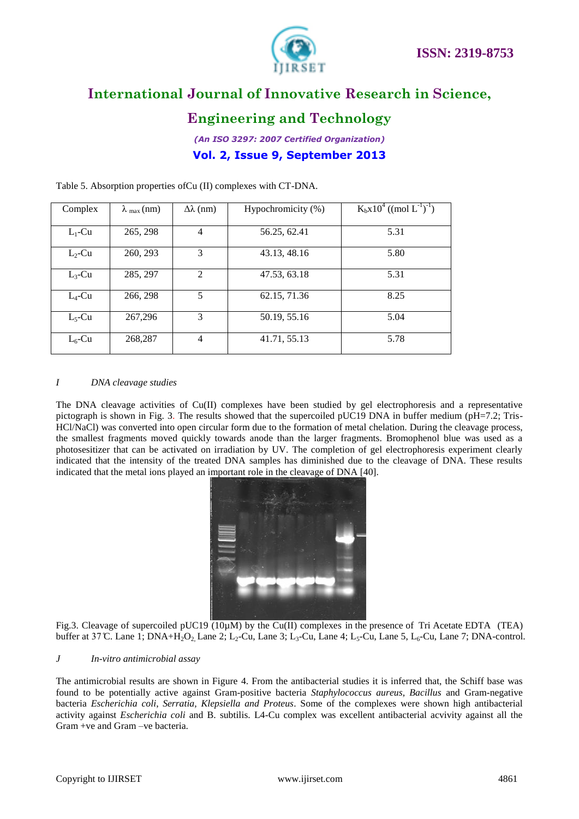



# **Engineering and Technology**

*(An ISO 3297: 2007 Certified Organization)* **Vol. 2, Issue 9, September 2013**

| Complex   | $\lambda_{\text{max}}$ (nm) | $\Delta\lambda$ (nm) | Hypochromicity (%) | $K_bx10^4$ ((mol $L^{-1}$ ) <sup>-1</sup> ) |
|-----------|-----------------------------|----------------------|--------------------|---------------------------------------------|
| $L_1$ -Cu | 265, 298                    | $\overline{4}$       | 56.25, 62.41       | 5.31                                        |
| $L_2$ -Cu | 260, 293                    | 3                    | 43.13, 48.16       | 5.80                                        |
| $L_3$ -Cu | 285, 297                    | 2                    | 47.53, 63.18       | 5.31                                        |
| $L_4$ -Cu | 266, 298                    | 5                    | 62.15, 71.36       | 8.25                                        |
| $L_5$ -Cu | 267,296                     | 3                    | 50.19, 55.16       | 5.04                                        |
| $L_6$ -Cu | 268,287                     | $\overline{4}$       | 41.71, 55.13       | 5.78                                        |

Table 5. Absorption properties ofCu (II) complexes with CT-DNA.

### *I DNA cleavage studies*

The DNA cleavage activities of Cu(II) complexes have been studied by gel electrophoresis and a representative pictograph is shown in Fig. 3. The results showed that the supercoiled pUC19 DNA in buffer medium (pH=7.2; Tris-HCl/NaCl) was converted into open circular form due to the formation of metal chelation. During the cleavage process, the smallest fragments moved quickly towards anode than the larger fragments. Bromophenol blue was used as a photosesitizer that can be activated on irradiation by UV. The completion of gel electrophoresis experiment clearly indicated that the intensity of the treated DNA samples has diminished due to the cleavage of DNA. These results indicated that the metal ions played an important role in the cleavage of DNA [40].



Fig.3. Cleavage of supercoiled pUC19  $(10\mu)$  by the Cu(II) complexes in the presence of Tri Acetate EDTA (TEA) buffer at 37 C. Lane 1; DNA+H<sub>2</sub>O<sub>2</sub>, Lane 2; L<sub>2</sub>-Cu, Lane 3; L<sub>3</sub>-Cu, Lane 4; L<sub>5</sub>-Cu, Lane 5, L<sub>6</sub>-Cu, Lane 7; DNA-control.

### *J In-vitro antimicrobial assay*

The antimicrobial results are shown in Figure 4. From the antibacterial studies it is inferred that, the Schiff base was found to be potentially active against Gram-positive bacteria *Staphylococcus aureus, Bacillus* and Gram-negative bacteria *Escherichia coli*, *Serratia, Klepsiella and Proteus*. Some of the complexes were shown high antibacterial activity against *Escherichia coli* and B. subtilis. L4-Cu complex was excellent antibacterial acvivity against all the Gram +ve and Gram –ve bacteria.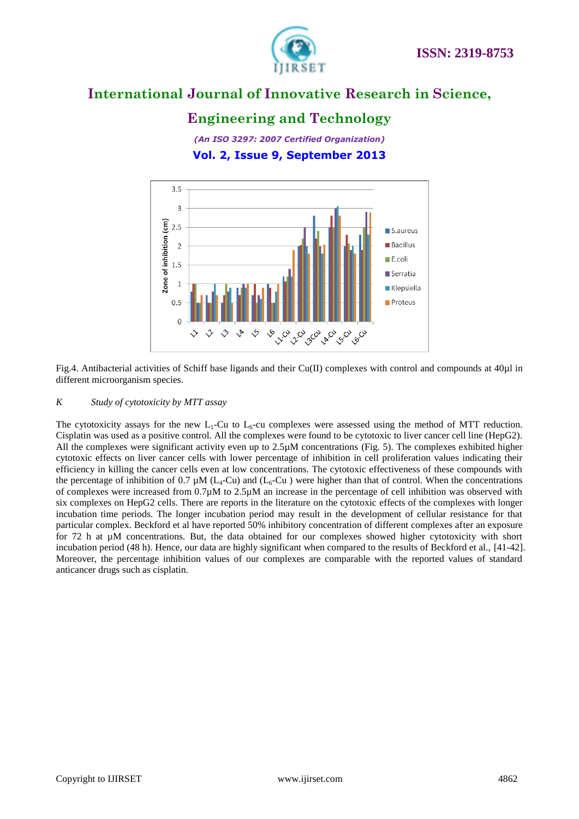

# **Engineering and Technology**

*(An ISO 3297: 2007 Certified Organization)* **Vol. 2, Issue 9, September 2013**



Fig.4. Antibacterial activities of Schiff base ligands and their Cu(II) complexes with control and compounds at 40µl in different microorganism species.

### *K Study of cytotoxicity by MTT assay*

The cytotoxicity assays for the new  $L_1$ -Cu to  $L_6$ -cu complexes were assessed using the method of MTT reduction. Cisplatin was used as a positive control. All the complexes were found to be cytotoxic to liver cancer cell line (HepG2). All the complexes were significant activity even up to 2.5µM concentrations (Fig. 5). The complexes exhibited higher cytotoxic effects on liver cancer cells with lower percentage of inhibition in cell proliferation values indicating their efficiency in killing the cancer cells even at low concentrations. The cytotoxic effectiveness of these compounds with the percentage of inhibition of 0.7  $\mu$ M (L<sub>4</sub>-Cu) and (L<sub>6</sub>-Cu) were higher than that of control. When the concentrations of complexes were increased from 0.7µM to 2.5µM an increase in the percentage of cell inhibition was observed with six complexes on HepG2 cells. There are reports in the literature on the cytotoxic effects of the complexes with longer incubation time periods. The longer incubation period may result in the development of cellular resistance for that particular complex. Beckford et al have reported 50% inhibitory concentration of different complexes after an exposure for 72 h at µM concentrations. But, the data obtained for our complexes showed higher cytotoxicity with short incubation period (48 h). Hence, our data are highly significant when compared to the results of Beckford et al., [41-42]. Moreover, the percentage inhibition values of our complexes are comparable with the reported values of standard anticancer drugs such as cisplatin.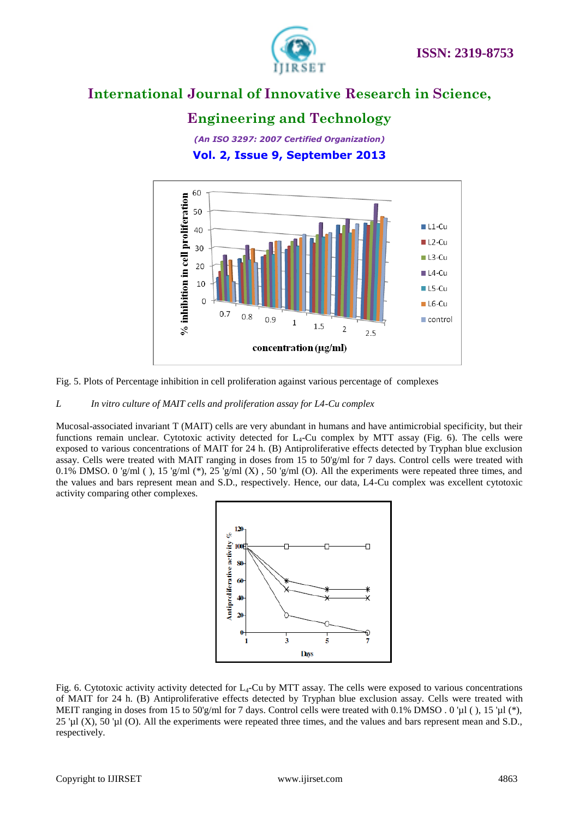

# **Engineering and Technology**

*(An ISO 3297: 2007 Certified Organization)* **Vol. 2, Issue 9, September 2013**



Fig. 5. Plots of Percentage inhibition in cell proliferation against various percentage of complexes

### *L In vitro culture of MAIT cells and proliferation assay for L4-Cu complex*

Mucosal-associated invariant T (MAIT) cells are very abundant in humans and have antimicrobial specificity, but their functions remain unclear. Cytotoxic activity detected for  $L_4$ -Cu complex by MTT assay (Fig. 6). The cells were exposed to various concentrations of MAIT for 24 h. (B) Antiproliferative effects detected by Tryphan blue exclusion assay. Cells were treated with MAIT ranging in doses from 15 to 50'g/ml for 7 days. Control cells were treated with 0.1% DMSO. 0 'g/ml ( ), 15 'g/ml (\*), 25 'g/ml (X), 50 'g/ml (O). All the experiments were repeated three times, and the values and bars represent mean and S.D., respectively. Hence, our data, L4-Cu complex was excellent cytotoxic activity comparing other complexes.



Fig. 6. Cytotoxic activity activity detected for  $L_4$ -Cu by MTT assay. The cells were exposed to various concentrations of MAIT for 24 h. (B) Antiproliferative effects detected by Tryphan blue exclusion assay. Cells were treated with MEIT ranging in doses from 15 to 50'g/ml for 7 days. Control cells were treated with 0.1% DMSO . 0 'µl (), 15 'µl (\*), 25 'µl (X), 50 'µl (O). All the experiments were repeated three times, and the values and bars represent mean and S.D., respectively.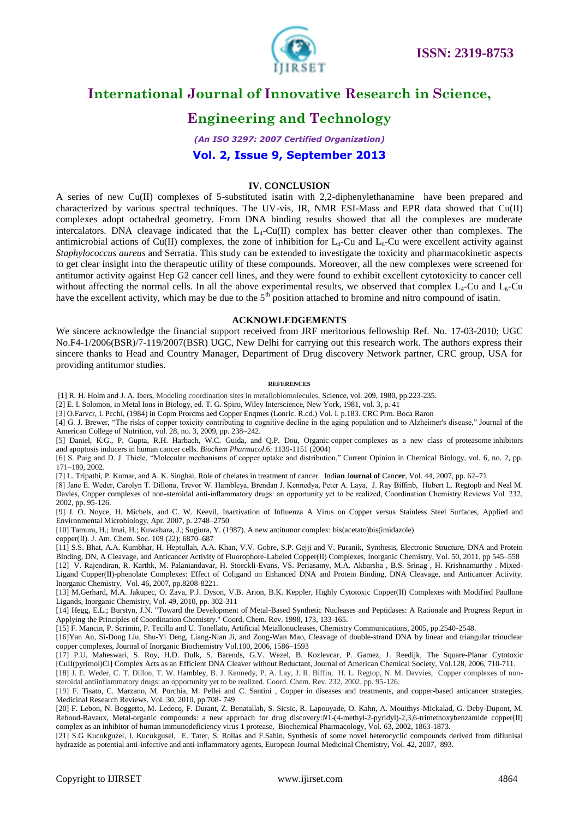



# **Engineering and Technology**

# *(An ISO 3297: 2007 Certified Organization)* **Vol. 2, Issue 9, September 2013**

### **IV. CONCLUSION**

A series of new Cu(II) complexes of 5-substituted isatin with 2,2-diphenylethanamine have been prepared and characterized by various spectral techniques. The UV-vis, IR, NMR ESI-Mass and EPR data showed that Cu(II) complexes adopt octahedral geometry. From DNA binding results showed that all the complexes are moderate intercalators. DNA cleavage indicated that the  $L_4$ -Cu(II) complex has better cleaver other than complexes. The antimicrobial actions of Cu(II) complexes, the zone of inhibition for  $L_4$ -Cu and  $L_6$ -Cu were excellent activity against *Staphylococcus aureus* and Serratia. This study can be extended to investigate the toxicity and pharmacokinetic aspects to get clear insight into the therapeutic utility of these compounds. Moreover, all the new complexes were screened for antitumor activity against Hep G2 cancer cell lines, and they were found to exhibit excellent cytotoxicity to cancer cell without affecting the normal cells. In all the above experimental results, we observed that complex  $L_4$ -Cu and  $L_6$ -Cu have the excellent activity, which may be due to the  $5<sup>th</sup>$  position attached to bromine and nitro compound of isatin.

### **ACKNOWLEDGEMENTS**

We sincere acknowledge the financial support received from JRF meritorious fellowship Ref. No. 17-03-2010; UGC No.F4-1/2006(BSR)/7-119/2007(BSR) UGC, New Delhi for carrying out this research work. The authors express their sincere thanks to Head and Country Manager, Department of Drug discovery Network partner, CRC group, USA for providing antitumor studies.

#### **REFERENCES**

[1] R. H. Holm and J. A. Ibers, Modeling coordination sites in metallobiomolecules, Science, vol. 209, 1980, pp.223-235.

[2] E. I. Solomon, in Metal Ions in Biology, ed. T. G. Spiro, Wiley Interscience, New York, 1981, vol. 3, p. 41

[3] O.Farvcr, I. PcchI, (1984) in Copm Prorcms aed Copper Enqmes (Lonric. R.cd.) Vol. I. p.183. CRC Prm. Boca Raron

[4] G. J. Brewer, "The risks of copper toxicity contributing to cognitive decline in the aging population and to Alzheimer's disease," Journal of the American College of Nutrition, vol. 28, no. 3, 2009, pp. 238–242.

[5] Daniel, K.G., P. Gupta, R.H. Harbach, W.C. Guida, and Q.P. Dou, Organic copper complexes as a new class of proteasome inhibitors and apoptosis inducers in human cancer cells*. Biochem Pharmacol*.6: 1139-1151 (2004)

[6] S. Puig and D. J. Thiele, "Molecular mechanisms of copper uptake and distribution," Current Opinion in Chemical Biology, vol. 6, no. 2, pp. 171–180, 2002.

[7] L. Tripathi, P. Kumar, and A. K. Singhai, Role of chelates in treatment of cancer. Ind**ian** J**ournal of** Can**cer**, Vol. 44, 2007, pp. 62–71

[8] Jane E. Weder, Carolyn T. Dillona, Trevor W. Hambleya, Brendan J. Kennedya, Peter A. Laya, J. Ray Biffinb, Hubert L. Regtopb and Neal M. Davies, Copper complexes of non-steroidal anti-inflammatory drugs: an opportunity yet to be realized, Coordination Chemistry Reviews Vol. 232, 2002, pp. 95-126.

[9] J. O. Noyce, H. Michels, and C. W. Keevil, Inactivation of Influenza A Virus on Copper versus Stainless Steel Surfaces, Applied and Environmental Microbiology, Apr. 2007, p. 2748–2750

[10] Tamura, H.; Imai, H.; Kuwahara, J.; Sugiura, Y. (1987). A new antitumor complex: bis(acetato)bis(imidazole)

copper(II). J. Am. Chem. Soc. 109 (22): 6870–687

[11] S.S. Bhat, A.A. Kumbhar, H. Heptullah, A.A. Khan, V.V. Gobre, S.P. Gejji and V. Puranik, Synthesis, Electronic Structure, DNA and Protein Binding, DN, A Cleavage, and Anticancer Activity of Fluorophore-Labeled Copper(II) Complexes, Inorganic Chemistry, Vol. 50, 2011, pp 545–558 [12] V. Rajendiran, R. Karthk, M. Palaniandavar, H. Stoeckli-Evans, VS. Periasamy, M.A. Akbarsha , B.S. Srinag , H. Krishnamurthy . Mixed-Ligand Copper(II)-phenolate Complexes: Effect of Coligand on Enhanced DNA and Protein Binding, DNA Cleavage, and Anticancer Activity. Inorganic Chemistry, Vol. 46, 2007, pp.8208-8221.

[13] M.Gerhard, M.A. Jakupec, O. Zava, P.J. Dyson, V.B. Arion, B.K. Keppler, Highly Cytotoxic Copper(II) Complexes with Modified Paullone Ligands, Inorganic Chemistry, Vol. 49, 2010, pp. 302-311

[14] Hegg, E.L.; Burstyn, J.N. "Toward the Development of Metal-Based Synthetic Nucleases and Peptidases: A Rationale and Progress Report in Applying the Principles of Coordination Chemistry." Coord. Chem. Rev. 1998, 173, 133-165.

[15] F. Mancin, P. Scrimin, P. Tecilla and U. Tonellato, Artificial Metallonucleases, Chemistry Communications, 2005, pp.2540-2548.

[16]Yan An, Si-Dong Liu, Shu-Yi Deng, Liang-Nian Ji, and Zong-Wan Mao, Cleavage of double-strand DNA by linear and triangular trinuclear copper complexes, Journal of Inorganic Biochemistry Vol.100, 2006, 1586–1593

[17] P.U. Maheswari, S. Roy, H.D. Dulk, S. Barends, G.V. Wezel, B. Kozlevcar, P. Gamez, J. Reedijk, The Square-Planar Cytotoxic [CuII(pyrimol)Cl] Complex Acts as an Efficient DNA Cleaver without Reductant, Journal of American Chemical Society, Vol.128, 2006, 710-711. [18] J. E. Weder, C. T. Dillon, T. W. Hambley, B. J. Kennedy, P. A. Lay, J. R. Biffin, H. L. Regtop, N. M. Davvies, Copper complexes of non-

steroidal antiinflammatory drugs: an opportunity yet to be realized. Coord. Chem. Rev. 232, 2002, pp. 95-126.

[19] F. Tisato, C. Marzano, M. Porchia, M. Pellei and C. Santini, Copper in diseases and treatments, and copper-based anticancer strategies, Medicinal Research Reviews. Vol. 30, 2010, pp.708- 749

[20] F. Lebon, N. Boggetto, M. Ledecq, F. Durant, Z. Benatallah, S. Sicsic, R. Lapouyade, O. Kahn, A. Mouithys-Mickalad, G. Deby-Dupont, M. Reboud-Ravaux, Metal-organic compounds: a new approach for drug discovery:*N*1-(4-methyl-2-pyridyl)-2,3,6-trimethoxybenzamide copper(II) complex as an inhibitor of human immunodeficiency virus 1 protease, Biochemical Pharmacology, Vol. 63, 2002, 1863-1873.

[21] S.G Kucukguzel, I. Kucukgusel, E. Tater, S. Rollas and F.Sahin, Synthesis of some novel heterocyclic compounds derived from diflunisal hydrazide as potential anti-infective and anti-inflammatory agents, European Journal Medicinal Chemistry, Vol. 42, 2007, 893.